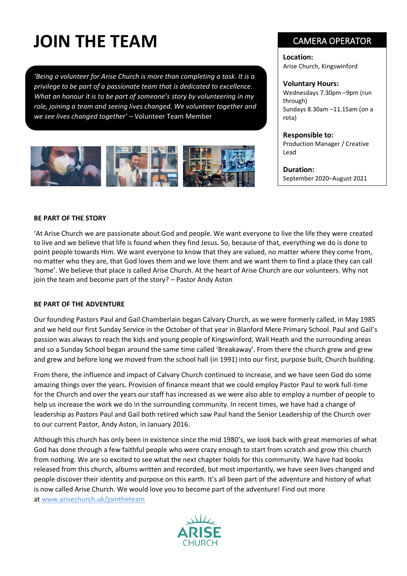# **JOIN THE TEAM**

*'Being a volunteer for Arise Church is more than completing a task. It is a privilege to be part of a passionate team that is dedicated to excellence. What an honour it is to be part of someone's story by volunteering in my role, joining a team and seeing lives changed. We volunteer together and we see lives changed together'* – Volunteer Team Member



# CAMERA OPERATOR

**Location:** Arise Church, Kingswinford

#### **Voluntary Hours:**

Wednesdays 7.30pm –9pm (run through) Sundays 8.30am –11.15am (on a rota)

#### **Responsible to:**

Production Manager / Creative Lead

**Duration:** September 2020–August 2021

#### **BE PART OF THE STORY**

'At Arise Church we are passionate about God and people. We want everyone to live the life they were created to live and we believe that life is found when they find Jesus. So, because of that, everything we do is done to point people towards Him. We want everyone to know that they are valued, no matter where they come from, no matter who they are, that God loves them and we love them and we want them to find a place they can call 'home'. We believe that place is called Arise Church. At the heart of Arise Church are our volunteers. Why not join the team and become part of the story? – Pastor Andy Aston

#### **BE PART OF THE ADVENTURE**

Our founding Pastors Paul and Gail Chamberlain began Calvary Church, as we were formerly called, in May 1985 and we held our first Sunday Service in the October of that year in Blanford Mere Primary School. Paul and Gail's passion was always to reach the kids and young people of Kingswinford, Wall Heath and the surrounding areas and so a Sunday School began around the same time called 'Breakaway'. From there the church grew and grew and grew and before long we moved from the school hall (in 1991) into our first, purpose built, Church building.

From there, the influence and impact of Calvary Church continued to increase, and we have seen God do some amazing things over the years. Provision of finance meant that we could employ Pastor Paul to work full-time for the Church and over the years our staff has increased as we were also able to employ a number of people to help us increase the work we do in the surrounding community. In recent times, we have had a change of leadership as Pastors Paul and Gail both retired which saw Paul hand the Senior Leadership of the Church over to our current Pastor, Andy Aston, in January 2016.

Although this church has only been in existence since the mid 1980's, we look back with great memories of what God has done through a few faithful people who were crazy enough to start from scratch and grow this church from nothing. We are so excited to see what the next chapter holds for this community. We have had books released from this church, albums written and recorded, but most importantly, we have seen lives changed and people discover their identity and purpose on this earth. It's all been part of the adventure and history of what is now called Arise Church. We would love you to become part of the adventure! Find out more at [www.arisechurch.uk/jointheteam](http://www.arisechurch.uk/jointheteam)